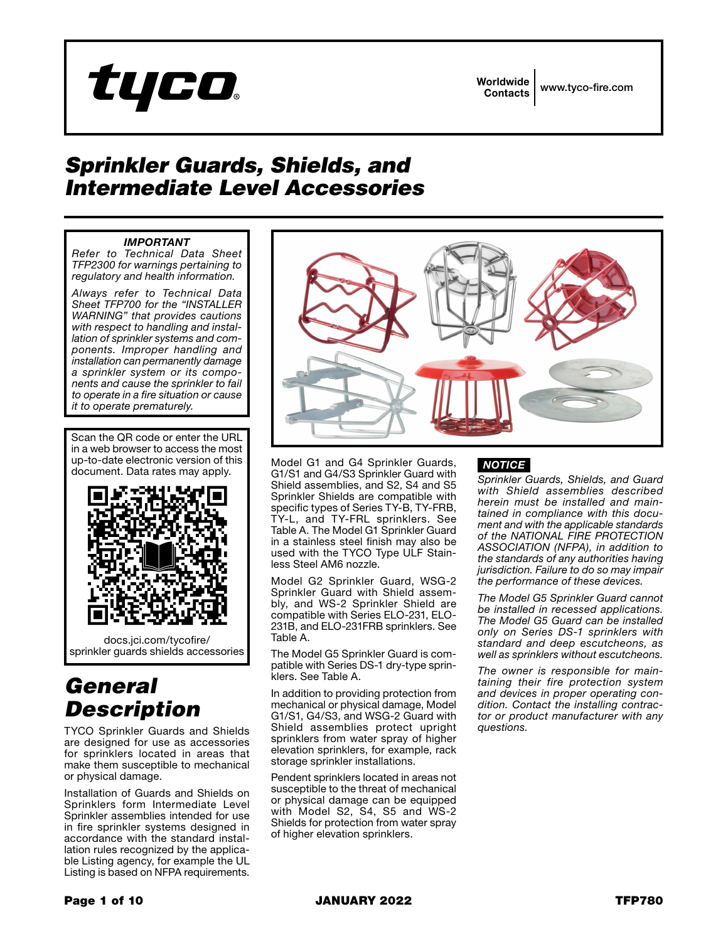

Worldwide Contacts www.tyco-fire.com

## *Sprinkler Guards, Shields, and Intermediate Level Accessories*

## *IMPORTANT*

*Refer to Technical Data Sheet TFP2300 for warnings pertaining to regulatory and health information.*

*Always refer to Technical Data Sheet TFP700 for the "INSTALLER WARNING" that provides cautions with respect to handling and installation of sprinkler systems and components. Improper handling and installation can permanently damage a sprinkler system or its components and cause the sprinkler to fail to operate in a fire situation or cause it to operate prematurely.*

Scan the QR code or enter the URL in a web browser to access the most up-to-date electronic version of this document. Data rates may apply.



docs.jci.com/tycofire/ sprinkler quards shields accessories

# *General Description*

TYCO Sprinkler Guards and Shields are designed for use as accessories for sprinklers located in areas that make them susceptible to mechanical or physical damage.

Installation of Guards and Shields on Sprinklers form Intermediate Level Sprinkler assemblies intended for use in fire sprinkler systems designed in accordance with the standard installation rules recognized by the applicable Listing agency, for example the UL Listing is based on NFPA requirements.



Model G1 and G4 Sprinkler Guards, G1/S1 and G4/S3 Sprinkler Guard with Shield assemblies, and S2, S4 and S5 Sprinkler Shields are compatible with specific types of Series TY-B, TY-FRB, TY-L, and TY-FRL sprinklers. See Table A. The Model G1 Sprinkler Guard in a stainless steel finish may also be used with the TYCO Type ULF Stainless Steel AM6 nozzle.

Model G2 Sprinkler Guard, WSG-2 Sprinkler Guard with Shield assembly, and WS-2 Sprinkler Shield are compatible with Series ELO-231, ELO-231B, and ELO-231FRB sprinklers. See Table A.

The Model G5 Sprinkler Guard is compatible with Series DS-1 dry-type sprinklers. See Table A.

In addition to providing protection from mechanical or physical damage, Model G1/S1, G4/S3, and WSG-2 Guard with Shield assemblies protect upright sprinklers from water spray of higher elevation sprinklers, for example, rack storage sprinkler installations.

Pendent sprinklers located in areas not susceptible to the threat of mechanical or physical damage can be equipped with Model S2, S4, S5 and WS-2 Shields for protection from water spray of higher elevation sprinklers.

## *NOTICE*

*Sprinkler Guards, Shields, and Guard with Shield assemblies described herein must be installed and maintained in compliance with this document and with the applicable standards of the NATIONAL FIRE PROTECTION ASSOCIATION (NFPA), in addition to the standards of any authorities having jurisdiction. Failure to do so may impair the performance of these devices.*

*The Model G5 Sprinkler Guard cannot be installed in recessed applications. The Model G5 Guard can be installed only on Series DS-1 sprinklers with standard and deep escutcheons, as well as sprinklers without escutcheons.*

*The owner is responsible for maintaining their fire protection system and devices in proper operating condition. Contact the installing contractor or product manufacturer with any questions.*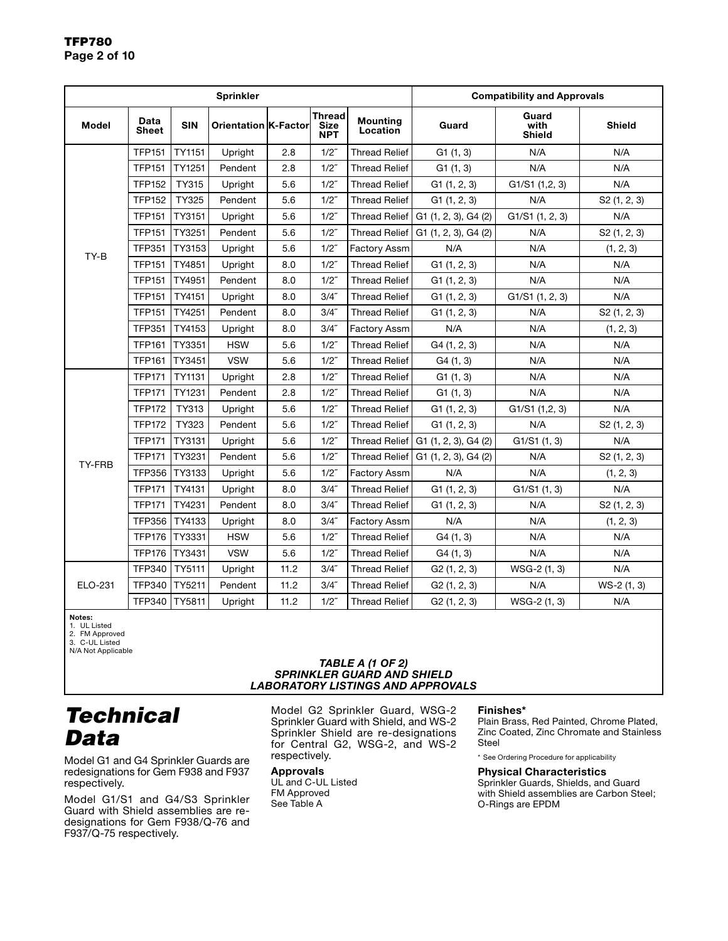|              |                                                            |        | <b>Sprinkler</b> | <b>Compatibility and Approvals</b>         |                             |                      |                                |                |                          |
|--------------|------------------------------------------------------------|--------|------------------|--------------------------------------------|-----------------------------|----------------------|--------------------------------|----------------|--------------------------|
| <b>Model</b> | Data<br><b>SIN</b><br>Orientation K-Factor<br><b>Sheet</b> |        |                  | <b>Thread</b><br><b>Size</b><br><b>NPT</b> | <b>Mounting</b><br>Location | Guard                | Guard<br>with<br><b>Shield</b> | <b>Shield</b>  |                          |
|              | <b>TFP151</b>                                              | TY1151 | Upright          | 2.8                                        | $1/2$ "                     | <b>Thread Relief</b> | G1(1, 3)                       | N/A            | N/A                      |
|              | <b>TFP151</b>                                              | TY1251 | Pendent          | 2.8                                        | $1/2$ "                     | <b>Thread Relief</b> | G1(1, 3)                       | N/A            | N/A                      |
|              | <b>TFP152</b>                                              | TY315  | Upright          | 5.6                                        | $1/2$ "                     | <b>Thread Relief</b> | G1(1, 2, 3)                    | G1/S1(1,2,3)   | N/A                      |
|              | <b>TFP152</b>                                              | TY325  | Pendent          | 5.6                                        | $1/2$ "                     | <b>Thread Relief</b> | G1(1, 2, 3)                    | N/A            | S2 (1, 2, 3)             |
|              | <b>TFP151</b>                                              | TY3151 | Upright          | 5.6                                        | $1/2$ "                     | <b>Thread Relief</b> | G1 (1, 2, 3), G4 (2)           | G1/S1(1, 2, 3) | N/A                      |
|              | <b>TFP151</b>                                              | TY3251 | Pendent          | 5.6                                        | $1/2$ "                     | <b>Thread Relief</b> | G1 (1, 2, 3), G4 (2)           | N/A            | S2 (1, 2, 3)             |
| TY-B         | <b>TFP351</b>                                              | TY3153 | Upright          | 5.6                                        | $1/2$ "                     | <b>Factory Assm</b>  | N/A                            | N/A            | (1, 2, 3)                |
|              | <b>TFP151</b>                                              | TY4851 | <b>Upright</b>   | 8.0                                        | $1/2$ "                     | <b>Thread Relief</b> | G1(1, 2, 3)                    | N/A            | N/A                      |
|              | <b>TFP151</b>                                              | TY4951 | Pendent          | 8.0                                        | $1/2$ "                     | Thread Relief        | G1(1, 2, 3)                    | N/A            | N/A                      |
|              | <b>TFP151</b>                                              | TY4151 | Upright          | 8.0                                        | 3/4''                       | <b>Thread Relief</b> | G1(1, 2, 3)                    | G1/S1(1, 2, 3) | N/A                      |
|              | <b>TFP151</b>                                              | TY4251 | Pendent          | 8.0                                        | 3/4''                       | <b>Thread Relief</b> | G1(1, 2, 3)                    | N/A            | S2(1, 2, 3)              |
|              | <b>TFP351</b>                                              | TY4153 | Upright          | 8.0                                        | 3/4''                       | Factory Assm         | N/A                            | N/A            | (1, 2, 3)                |
|              | <b>TFP161</b>                                              | TY3351 | <b>HSW</b>       | 5.6                                        | $1/2$ "                     | <b>Thread Relief</b> | G4(1, 2, 3)                    | N/A            | N/A                      |
|              | <b>TFP161</b>                                              | TY3451 | <b>VSW</b>       | 5.6                                        | $1/2$ "                     | <b>Thread Relief</b> | G4(1, 3)                       | N/A            | N/A                      |
|              | <b>TFP171</b>                                              | TY1131 | Upright          | 2.8                                        | $1/2$ "                     | <b>Thread Relief</b> | G1(1, 3)                       | N/A            | N/A                      |
|              | <b>TFP171</b>                                              | TY1231 | Pendent          | 2.8                                        | $1/2$ "                     | <b>Thread Relief</b> | G1(1, 3)                       | N/A            | N/A                      |
|              | <b>TFP172</b>                                              | TY313  | Upright          | 5.6                                        | $1/2$ "                     | <b>Thread Relief</b> | G1(1, 2, 3)                    | G1/S1(1,2,3)   | N/A                      |
|              | <b>TFP172</b>                                              | TY323  | Pendent          | 5.6                                        | $1/2$ "                     | <b>Thread Relief</b> | G1(1, 2, 3)                    | N/A            | S <sub>2</sub> (1, 2, 3) |
|              | <b>TFP171</b>                                              | TY3131 | Upright          | 5.6                                        | $1/2$ "                     | Thread Relief        | $G1$ (1, 2, 3), $G4$ (2)       | G1/S1(1, 3)    | N/A                      |
| TY-FRB       | <b>TFP171</b>                                              | TY3231 | Pendent          | 5.6                                        | $1/2$ "                     | <b>Thread Relief</b> | G1 (1, 2, 3), G4 (2)           | N/A            | S2(1, 2, 3)              |
|              | <b>TFP356</b>                                              | TY3133 | Upright          | 5.6                                        | $1/2$ "                     | <b>Factory Assm</b>  | N/A                            | N/A            | (1, 2, 3)                |
|              | <b>TFP171</b>                                              | TY4131 | Upright          | 8.0                                        | 3/4''                       | <b>Thread Relief</b> | G1(1, 2, 3)                    | G1/S1(1, 3)    | N/A                      |
|              | <b>TFP171</b>                                              | TY4231 | Pendent          | 8.0                                        | 3/4''                       | <b>Thread Relief</b> | G1(1, 2, 3)                    | N/A            | S2 (1, 2, 3)             |
|              | <b>TFP356</b>                                              | TY4133 | Upright          | 8.0                                        | 3/4''                       | <b>Factory Assm</b>  | N/A                            | N/A            | (1, 2, 3)                |
|              | <b>TFP176</b>                                              | TY3331 | <b>HSW</b>       | 5.6                                        |                             | <b>Thread Relief</b> | G4(1, 3)                       | N/A            | N/A                      |
|              | <b>TFP176</b>                                              | TY3431 | <b>VSW</b>       | 5.6                                        | $1/2$ "                     | <b>Thread Relief</b> | G4(1, 3)                       | N/A            | N/A                      |
|              | <b>TFP340</b>                                              | TY5111 | Upright          | 11.2                                       | 3/4''                       | <b>Thread Relief</b> | G2(1, 2, 3)                    | WSG-2 (1, 3)   | N/A                      |
| ELO-231      | <b>TFP340</b>                                              | TY5211 | Pendent          | 11.2                                       | 3/4''                       | <b>Thread Relief</b> | G2(1, 2, 3)                    | N/A            | WS-2 (1, 3)              |
|              | <b>TFP340</b>                                              | TY5811 | Upright          | 11.2                                       | $1/2$ "                     | <b>Thread Relief</b> | G2(1, 2, 3)                    | WSG-2 (1, 3)   | N/A                      |

**Notes:**<br>1. UL Listed<br>2. FM Approved

3. C-UL Listed N/A Not Applicable

#### *TABLE A (1 OF 2) SPRINKLER GUARD AND SHIELD LABORATORY LISTINGS AND APPROVALS*

# *Technical Data*

Model G1 and G4 Sprinkler Guards are redesignations for Gem F938 and F937 respectively.

Model G1/S1 and G4/S3 Sprinkler Guard with Shield assemblies are redesignations for Gem F938/Q-76 and F937/Q-75 respectively.

Model G2 Sprinkler Guard, WSG-2 Sprinkler Guard with Shield, and WS-2 Sprinkler Shield are re-designations for Central G2, WSG-2, and WS-2 respectively.

## **Approvals**

UL and C-UL Listed FM Approved See Table A

### **Finishes\***

Plain Brass, Red Painted, Chrome Plated, Zinc Coated, Zinc Chromate and Stainless Steel

\* See Ordering Procedure for applicability

### **Physical Characteristics**

Sprinkler Guards, Shields, and Guard with Shield assemblies are Carbon Steel; O-Rings are EPDM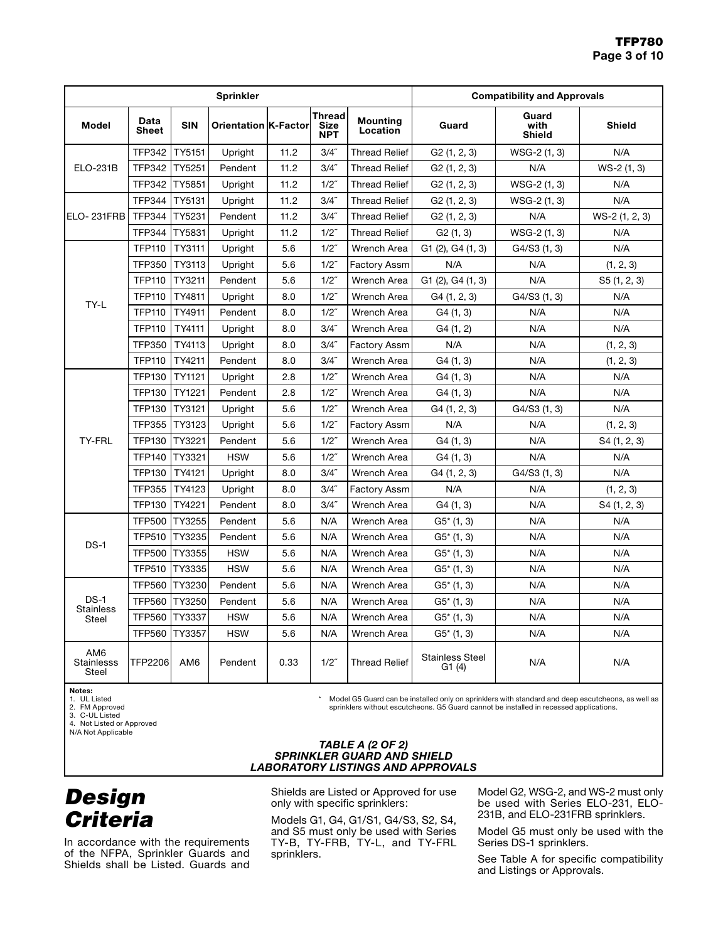|                                               |                      |               | <b>Sprinkler</b>            | <b>Compatibility and Approvals</b> |                                     |                             |                                  |                                |                 |
|-----------------------------------------------|----------------------|---------------|-----------------------------|------------------------------------|-------------------------------------|-----------------------------|----------------------------------|--------------------------------|-----------------|
| <b>Model</b>                                  | Data<br><b>Sheet</b> | <b>SIN</b>    | <b>Orientation K-Factor</b> |                                    | <b>Thread</b><br>Size<br><b>NPT</b> | <b>Mounting</b><br>Location | Guard                            | Guard<br>with<br><b>Shield</b> | <b>Shield</b>   |
|                                               | <b>TFP342</b>        | TY5151        | Upright                     | 11.2                               | 3/4''                               | <b>Thread Relief</b>        | G2(1, 2, 3)                      | WSG-2 (1, 3)                   | N/A             |
| <b>ELO-231B</b>                               | <b>TFP342</b>        | TY5251        | Pendent                     | 11.2                               | 3/4''                               | <b>Thread Relief</b>        | G2(1, 2, 3)                      | N/A                            | $WS-2(1, 3)$    |
|                                               | <b>TFP342</b>        | <b>TY5851</b> | Upright                     | 11.2                               | $1/2$ "                             | <b>Thread Relief</b>        | G2(1, 2, 3)                      | WSG-2 (1, 3)                   | N/A             |
|                                               | <b>TFP344</b>        | TY5131        | Upright                     | 11.2                               | 3/4''                               | <b>Thread Relief</b>        | G2(1, 2, 3)                      | WSG-2 (1, 3)                   | N/A             |
| ELO-231FRB                                    | <b>TFP344</b>        | TY5231        | Pendent                     | 11.2                               | 3/4''                               | <b>Thread Relief</b>        | G2(1, 2, 3)                      | N/A                            | $WS-2(1, 2, 3)$ |
|                                               | <b>TFP344</b>        | <b>TY5831</b> | Upright                     | 11.2                               | $1/2$ "                             | <b>Thread Relief</b>        | G2(1, 3)                         | WSG-2 (1, 3)                   | N/A             |
|                                               | <b>TFP110</b>        | TY3111        | Upright                     | 5.6                                | 1/2"                                | Wrench Area                 | G1 (2), G4 (1, 3)                | G4/S3 (1, 3)                   | N/A             |
|                                               | <b>TFP350</b>        | TY3113        | Upright                     | 5.6                                | $1/2$ "                             | Factory Assm                | N/A                              | N/A                            | (1, 2, 3)       |
|                                               | <b>TFP110</b>        | TY3211        | Pendent                     | 5.6                                | $1/2$ "                             | Wrench Area                 | G1 (2), G4 (1, 3)                | N/A                            | S5(1, 2, 3)     |
| TY-L                                          | <b>TFP110</b>        | TY4811        | Upright                     | 8.0                                | $1/2$ "                             | Wrench Area                 | G4 (1, 2, 3)                     | G4/S3(1, 3)                    | N/A             |
|                                               | <b>TFP110</b>        | TY4911        | Pendent                     | 8.0                                | $1/2$ "                             | Wrench Area                 | G4(1, 3)                         | N/A                            | N/A             |
|                                               | <b>TFP110</b>        | TY4111        | Upright                     | 8.0                                | 3/4''                               | Wrench Area                 | G4 (1, 2)                        | N/A                            | N/A             |
|                                               | <b>TFP350</b>        | TY4113        | Upright                     | 8.0                                | 3/4''                               | Factory Assm                | N/A                              | N/A                            | (1, 2, 3)       |
|                                               | <b>TFP110</b>        | TY4211        | Pendent                     | 8.0                                | 3/4''                               | Wrench Area                 | G4 (1, 3)                        | N/A                            | (1, 2, 3)       |
|                                               | <b>TFP130</b>        | <b>TY1121</b> | Upright                     | 2.8                                | $1/2$ "                             | Wrench Area                 | G4 (1, 3)                        | N/A                            | N/A             |
|                                               | <b>TFP130</b>        | TY1221        | Pendent                     | 2.8                                | $1/2$ "                             | Wrench Area                 | G4(1, 3)                         | N/A                            | N/A             |
|                                               | <b>TFP130</b>        | TY3121        | Upright                     | 5.6                                | $1/2$ "                             | Wrench Area                 | G4 (1, 2, 3)                     | G4/S3 (1, 3)                   | N/A             |
|                                               | <b>TFP355</b>        | TY3123        | Upright                     | 5.6                                |                                     | <b>Factory Assm</b>         | N/A                              | N/A                            | (1, 2, 3)       |
| <b>TY-FRL</b>                                 | <b>TFP130</b>        | TY3221        | Pendent                     | 5.6                                | $1/2$ "                             | Wrench Area                 | G4(1, 3)                         | N/A                            | S4 (1, 2, 3)    |
|                                               | <b>TFP140</b>        | TY3321        | <b>HSW</b>                  | 5.6                                | $1/2$ "                             | Wrench Area                 | G4(1, 3)                         | N/A                            | N/A             |
|                                               | <b>TFP130</b>        | TY4121        | Upright                     | 3/4''<br>8.0                       |                                     | Wrench Area                 | G4 (1, 2, 3)                     | G4/S3(1, 3)                    | N/A             |
|                                               | <b>TFP355</b>        | TY4123        | Upright                     | 8.0                                |                                     | Factory Assm                | N/A                              | N/A                            | (1, 2, 3)       |
|                                               | <b>TFP130</b>        | TY4221        | Pendent                     | 8.0                                | 3/4''                               | Wrench Area                 | G4(1, 3)                         | N/A                            | S4 (1, 2, 3)    |
|                                               | <b>TFP500</b>        | TY3255        | Pendent                     | 5.6                                | N/A                                 | Wrench Area                 | $G5*(1, 3)$                      | N/A                            | N/A             |
| $DS-1$                                        | <b>TFP510</b>        | TY3235        | Pendent                     | 5.6                                | N/A                                 | Wrench Area                 | $G5*(1, 3)$                      | N/A                            | N/A             |
|                                               | <b>TFP500</b>        | TY3355        | <b>HSW</b>                  | 5.6                                | N/A                                 | Wrench Area                 | $G5*(1, 3)$                      | N/A                            | N/A             |
|                                               | <b>TFP510</b>        | TY3335        | <b>HSW</b>                  | 5.6                                | N/A                                 | Wrench Area                 | $G5*(1, 3)$                      | N/A                            | N/A             |
|                                               | <b>TFP560</b>        | TY3230        | Pendent                     | 5.6                                | N/A                                 | Wrench Area                 | $G5*(1, 3)$                      | N/A                            | N/A             |
| $DS-1$<br><b>Stainless</b><br><b>Steel</b>    | <b>TFP560</b>        | TY3250        | Pendent                     | 5.6                                | N/A                                 | Wrench Area                 | $G5*(1, 3)$                      | N/A                            | N/A             |
|                                               | <b>TFP560</b>        | TY3337        | <b>HSW</b>                  | 5.6                                | N/A                                 | <b>Wrench Area</b>          | $G5*(1, 3)$                      | N/A                            | N/A             |
|                                               | <b>TFP560</b>        | <b>TY3357</b> | <b>HSW</b>                  | 5.6                                | N/A                                 | <b>Wrench Area</b>          | $G5*(1, 3)$                      | N/A                            | N/A             |
| AM <sub>6</sub><br><b>Stainlesss</b><br>Steel | TFP2206              | AM6           | Pendent                     | 0.33                               | $1/2$ "                             | <b>Thread Relief</b>        | <b>Stainless Steel</b><br>G1 (4) | N/A                            | N/A             |

Notes: 1. UL Listed

2. FM Approved 3. C-UL Listed

4. Not Listed or Approved

N/A Not Applicable

\* Model G5 Guard can be installed only on sprinklers with standard and deep escutcheons, as well as sprinklers without escutcheons. G5 Guard cannot be installed in recessed applications.

### *TABLE A (2 OF 2) SPRINKLER GUARD AND SHIELD LABORATORY LISTINGS AND APPROVALS*

*Design Criteria*

In accordance with the requirements of the NFPA, Sprinkler Guards and Shields shall be Listed. Guards and

Shields are Listed or Approved for use only with specific sprinklers:

Models G1, G4, G1/S1, G4/S3, S2, S4, and S5 must only be used with Series TY-B, TY-FRB, TY-L, and TY-FRL sprinklers.

Model G2, WSG-2, and WS-2 must only be used with Series ELO-231, ELO-231B, and ELO-231FRB sprinklers.

Model G5 must only be used with the Series DS-1 sprinklers.

See Table A for specific compatibility and Listings or Approvals.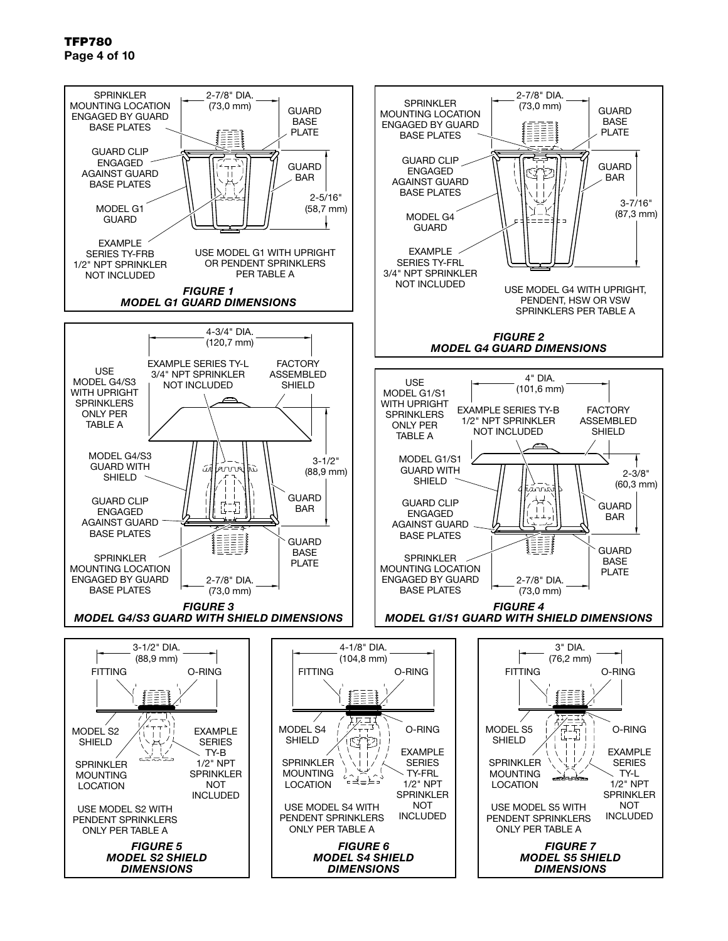## TFP780 Page 4 of 10

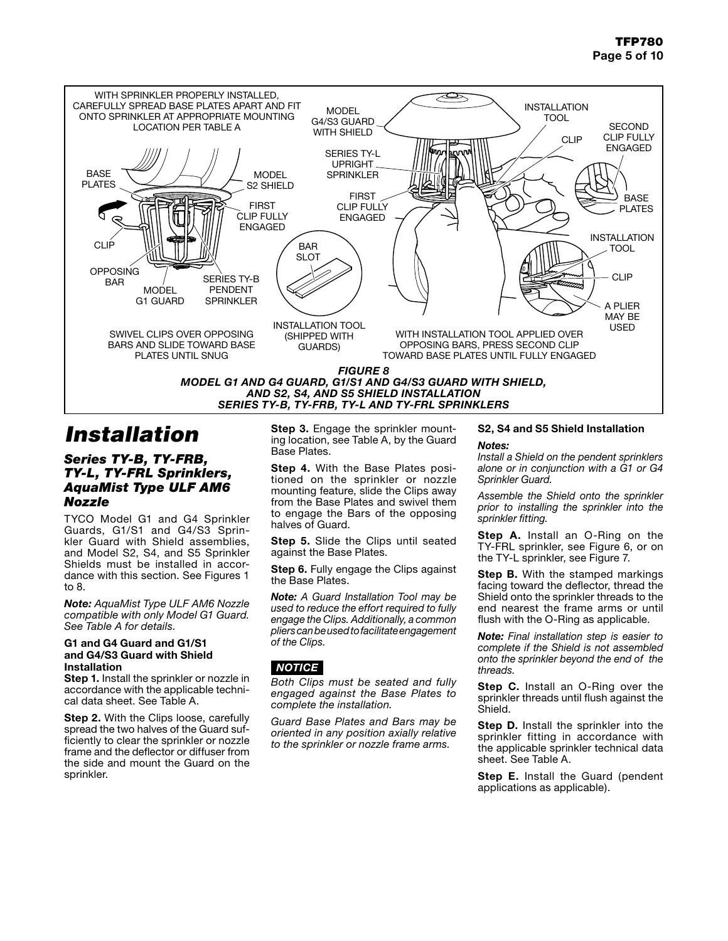

# *Installation*

## *Series TY-B, TY-FRB, TY-L, TY-FRL Sprinklers, AquaMist Type ULF AM6 Nozzle*

TYCO Model G1 and G4 Sprinkler Guards, G1/S1 and G4/S3 Sprinkler Guard with Shield assemblies, and Model S2, S4, and S5 Sprinkler Shields must be installed in accordance with this section. See Figures 1 to 8.

*Note: AquaMist Type ULF AM6 Nozzle compatible with only Model G1 Guard. See Table A for details.*

### G1 and G4 Guard and G1/S1 and G4/S3 Guard with Shield Installation

Step 1. Install the sprinkler or nozzle in accordance with the applicable technical data sheet. See Table A.

Step 2. With the Clips loose, carefully spread the two halves of the Guard sufficiently to clear the sprinkler or nozzle frame and the deflector or diffuser from the side and mount the Guard on the sprinkler.

Step 3. Engage the sprinkler mounting location, see Table A, by the Guard Base Plates.

Step 4. With the Base Plates positioned on the sprinkler or nozzle mounting feature, slide the Clips away from the Base Plates and swivel them to engage the Bars of the opposing halves of Guard.

Step 5. Slide the Clips until seated against the Base Plates.

Step 6. Fully engage the Clips against the Base Plates.

*Note: A Guard Installation Tool may be used to reduce the effort required to fully engage the Clips. Additionally, a common pliers can be used to facilitate engagement of the Clips.*

## *NOTICE*

*Both Clips must be seated and fully engaged against the Base Plates to complete the installation.*

*Guard Base Plates and Bars may be oriented in any position axially relative to the sprinkler or nozzle frame arms.*

## S2, S4 and S5 Shield Installation *Notes:*

*Install a Shield on the pendent sprinklers alone or in conjunction with a G1 or G4 Sprinkler Guard.*

*Assemble the Shield onto the sprinkler prior to installing the sprinkler into the sprinkler fitting.*

Step A. Install an O-Ring on the TY-FRL sprinkler, see Figure 6, or on the TY-L sprinkler, see Figure 7.

Step B. With the stamped markings facing toward the deflector, thread the Shield onto the sprinkler threads to the end nearest the frame arms or until flush with the O-Ring as applicable.

*Note: Final installation step is easier to complete if the Shield is not assembled onto the sprinkler beyond the end of the threads.*

Step C. Install an O-Ring over the sprinkler threads until flush against the Shield.

Step D. Install the sprinkler into the sprinkler fitting in accordance with the applicable sprinkler technical data sheet. See Table A.

Step E. Install the Guard (pendent applications as applicable).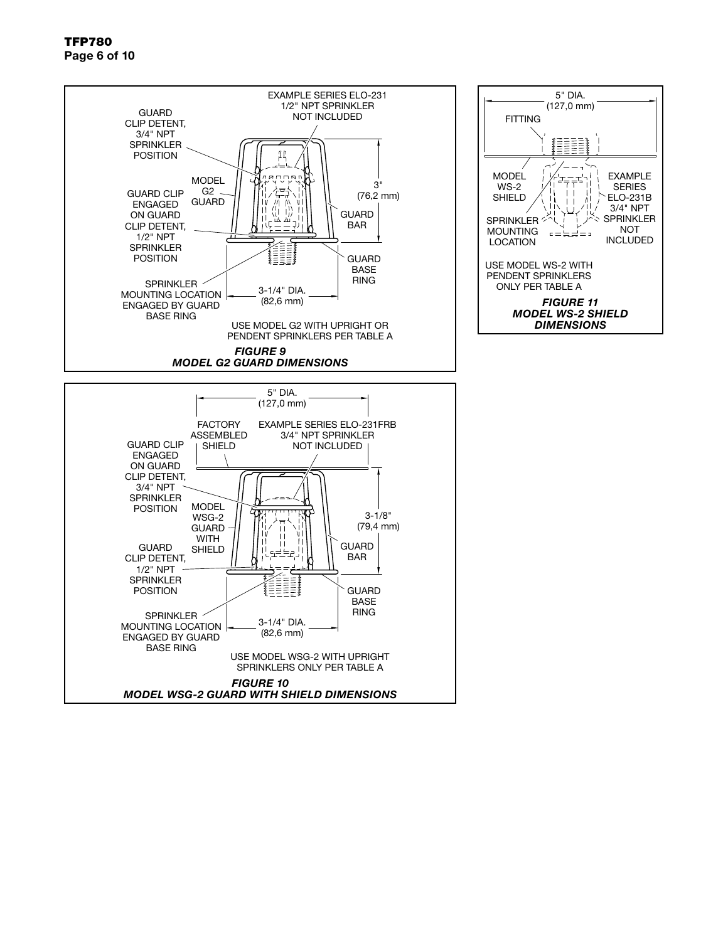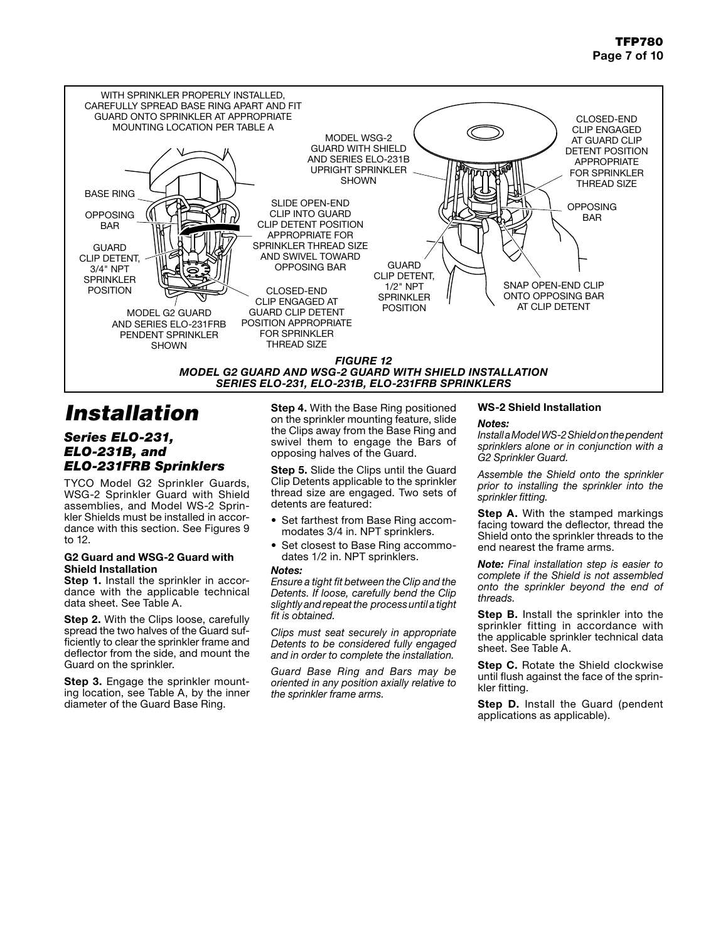

# *Installation*

## *Series ELO-231, ELO-231B, and ELO-231FRB Sprinklers*

TYCO Model G2 Sprinkler Guards, WSG-2 Sprinkler Guard with Shield assemblies, and Model WS-2 Sprinkler Shields must be installed in accordance with this section. See Figures 9 to 12.

### G2 Guard and WSG-2 Guard with Shield Installation

Step 1. Install the sprinkler in accordance with the applicable technical data sheet. See Table A.

Step 2. With the Clips loose, carefully spread the two halves of the Guard sufficiently to clear the sprinkler frame and deflector from the side, and mount the Guard on the sprinkler.

Step 3. Engage the sprinkler mounting location, see Table A, by the inner diameter of the Guard Base Ring.

Step 4. With the Base Ring positioned on the sprinkler mounting feature, slide the Clips away from the Base Ring and swivel them to engage the Bars of opposing halves of the Guard.

Step 5. Slide the Clips until the Guard Clip Detents applicable to the sprinkler thread size are engaged. Two sets of detents are featured:

- Set farthest from Base Ring accommodates 3/4 in. NPT sprinklers.
- Set closest to Base Ring accommodates 1/2 in. NPT sprinklers.

#### *Notes:*

*Ensure a tight fit between the Clip and the Detents. If loose, carefully bend the Clip slightly and repeat the process until a tight fit is obtained.*

*Clips must seat securely in appropriate Detents to be considered fully engaged and in order to complete the installation.*

*Guard Base Ring and Bars may be oriented in any position axially relative to the sprinkler frame arms.*

## WS-2 Shield Installation

### *Notes:*

*Install a Model WS-2 Shield on the pendent sprinklers alone or in conjunction with a G2 Sprinkler Guard.*

*Assemble the Shield onto the sprinkler prior to installing the sprinkler into the sprinkler fitting.*

**Step A.** With the stamped markings facing toward the deflector, thread the Shield onto the sprinkler threads to the end nearest the frame arms.

*Note: Final installation step is easier to complete if the Shield is not assembled onto the sprinkler beyond the end of threads.*

Step B. Install the sprinkler into the sprinkler fitting in accordance with the applicable sprinkler technical data sheet. See Table A.

Step C. Rotate the Shield clockwise until flush against the face of the sprinkler fitting.

Step D. Install the Guard (pendent applications as applicable).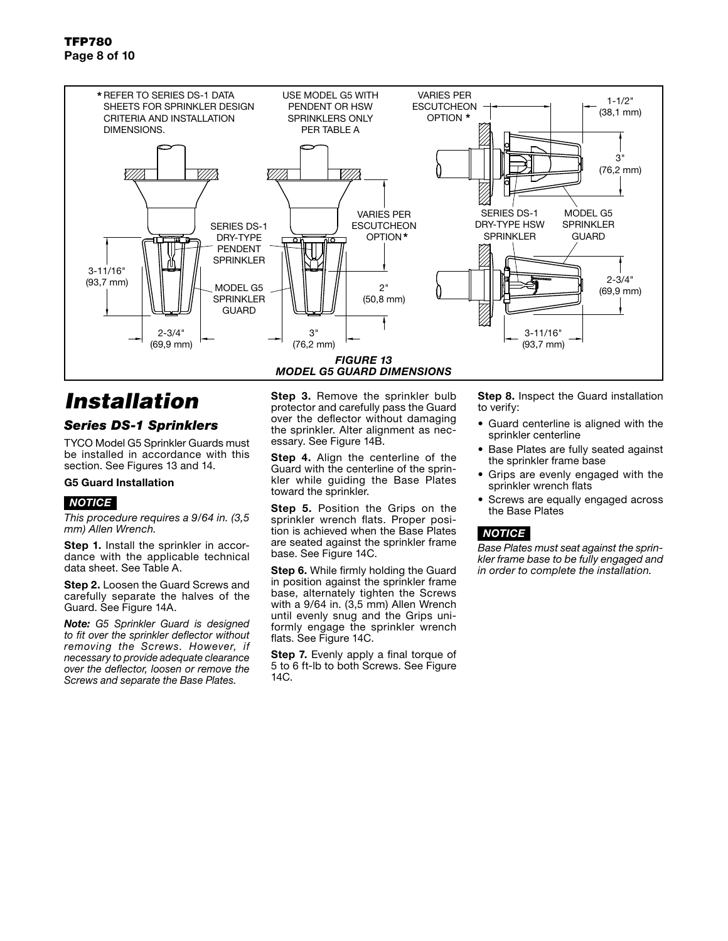

# *Installation*

## *Series DS-1 Sprinklers*

TYCO Model G5 Sprinkler Guards must be installed in accordance with this section. See Figures 13 and 14.

### G5 Guard Installation

## *NOTICE*

*This procedure requires a 9/64 in. (3,5 mm) Allen Wrench.*

Step 1. Install the sprinkler in accordance with the applicable technical data sheet. See Table A.

Step 2. Loosen the Guard Screws and carefully separate the halves of the Guard. See Figure 14A.

*Note: G5 Sprinkler Guard is designed to fit over the sprinkler deflector without removing the Screws. However, if necessary to provide adequate clearance over the deflector, loosen or remove the Screws and separate the Base Plates.*

Step 3. Remove the sprinkler bulb protector and carefully pass the Guard over the deflector without damaging the sprinkler. Alter alignment as necessary. See Figure 14B.

Step 4. Align the centerline of the Guard with the centerline of the sprinkler while guiding the Base Plates toward the sprinkler.

Step 5. Position the Grips on the sprinkler wrench flats. Proper position is achieved when the Base Plates are seated against the sprinkler frame base. See Figure 14C.

**Step 6.** While firmly holding the Guard in position against the sprinkler frame base, alternately tighten the Screws with a 9/64 in. (3,5 mm) Allen Wrench until evenly snug and the Grips uniformly engage the sprinkler wrench flats. See Figure 14C.

Step 7. Evenly apply a final torque of 5 to 6 ft-lb to both Screws. See Figure 14C.

Step 8. Inspect the Guard installation to verify:

- Guard centerline is aligned with the sprinkler centerline
- Base Plates are fully seated against the sprinkler frame base
- Grips are evenly engaged with the sprinkler wrench flats
- Screws are equally engaged across the Base Plates

## *NOTICE*

*Base Plates must seat against the sprinkler frame base to be fully engaged and in order to complete the installation.*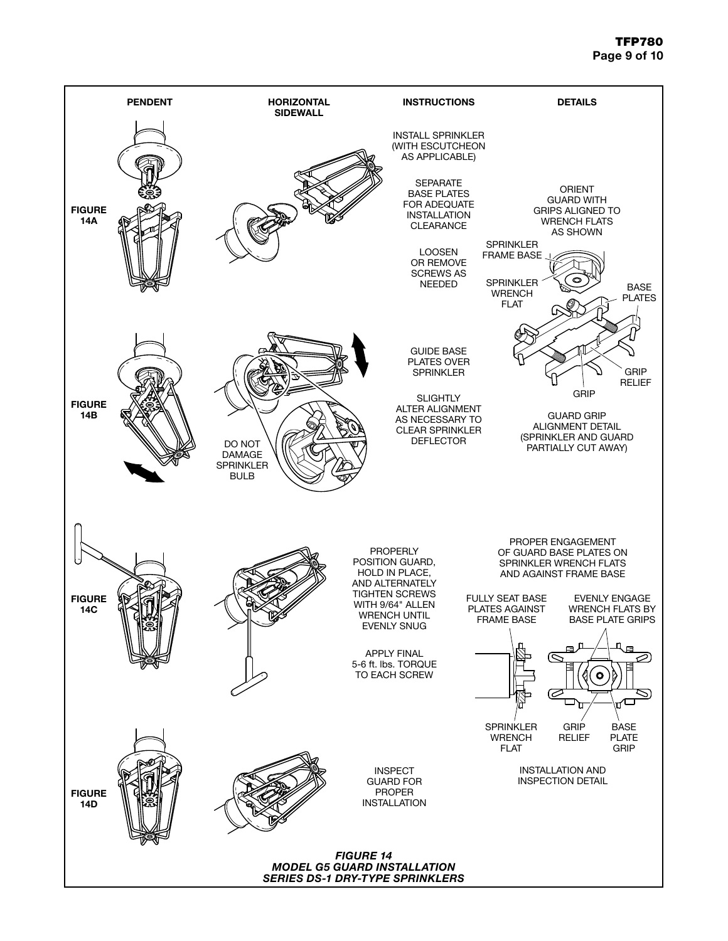## TFP780 Page 9 of 10

![](_page_8_Figure_1.jpeg)